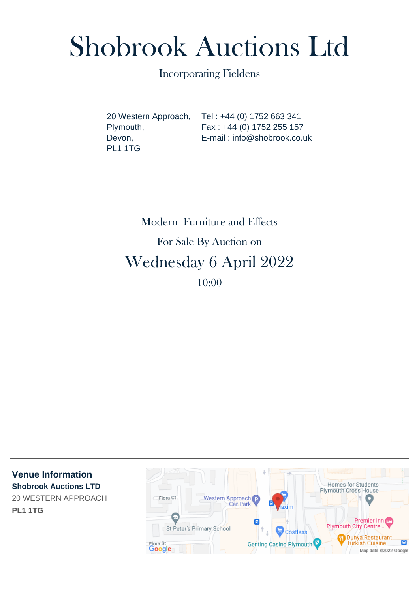# Shobrook Auctions Ltd

Incorporating Fieldens

20 Western Approach, Plymouth, Devon, PL1 1TG

Tel : +44 (0) 1752 663 341 Fax : +44 (0) 1752 255 157 E-mail : info@shobrook.co.uk

Modern Furniture and Effects For Sale By Auction on Wednesday 6 April 2022 10:00

**Venue Information Shobrook Auctions LTD** 20 WESTERN APPROACH **PL1 1TG**

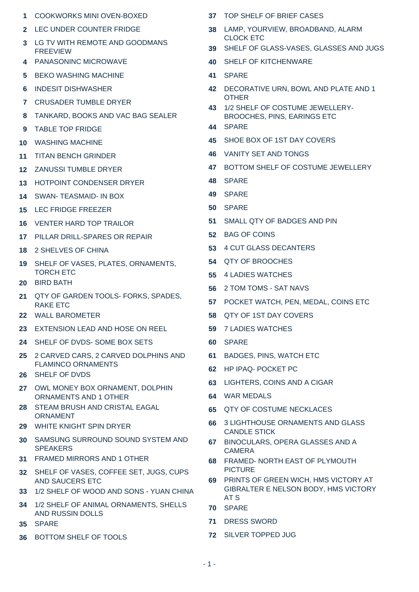- COOKWORKS MINI OVEN-BOXED
- LEC UNDER COUNTER FRIDGE
- LG TV WITH REMOTE AND GOODMANS FREEVIEW
- PANASONINC MICROWAVE
- BEKO WASHING MACHINE
- INDESIT DISHWASHER
- CRUSADER TUMBLE DRYER
- TANKARD, BOOKS AND VAC BAG SEALER
- TABLE TOP FRIDGE
- WASHING MACHINE
- TITAN BENCH GRINDER
- ZANUSSI TUMBLE DRYER
- HOTPOINT CONDENSER DRYER
- SWAN- TEASMAID- IN BOX
- LEC FRIDGE FREEZER
- VENTER HARD TOP TRAILOR
- PILLAR DRILL-SPARES OR REPAIR
- 2 SHELVES OF CHINA
- SHELF OF VASES, PLATES, ORNAMENTS, TORCH ETC
- BIRD BATH
- QTY OF GARDEN TOOLS- FORKS, SPADES, RAKE ETC
- WALL BAROMETER
- EXTENSION LEAD AND HOSE ON REEL
- SHELF OF DVDS- SOME BOX SETS
- 2 CARVED CARS, 2 CARVED DOLPHINS AND FLAMINCO ORNAMENTS
- SHELF OF DVDS
- OWL MONEY BOX ORNAMENT, DOLPHIN ORNAMENTS AND 1 OTHER
- STEAM BRUSH AND CRISTAL EAGAL ORNAMENT
- WHITE KNIGHT SPIN DRYER
- SAMSUNG SURROUND SOUND SYSTEM AND **SPEAKERS**
- FRAMED MIRRORS AND 1 OTHER
- SHELF OF VASES, COFFEE SET, JUGS, CUPS AND SAUCERS ETC
- 1/2 SHELF OF WOOD AND SONS YUAN CHINA
- 1/2 SHELF OF ANIMAL ORNAMENTS, SHELLS AND RUSSIN DOLLS
- SPARE
- BOTTOM SHELF OF TOOLS
- TOP SHELF OF BRIEF CASES
- LAMP, YOURVIEW, BROADBAND, ALARM CLOCK ETC
- SHELF OF GLASS-VASES, GLASSES AND JUGS
- SHELF OF KITCHENWARE
- SPARE
- DECORATIVE URN, BOWL AND PLATE AND 1 **OTHER**
- 1/2 SHELF OF COSTUME JEWELLERY-BROOCHES, PINS, EARINGS ETC
- SPARE
- SHOE BOX OF 1ST DAY COVERS
- VANITY SET AND TONGS
- BOTTOM SHELF OF COSTUME JEWELLERY
- SPARE
- SPARE
- SPARE
- SMALL QTY OF BADGES AND PIN
- BAG OF COINS
- 4 CUT GLASS DECANTERS
- QTY OF BROOCHES
- 4 LADIES WATCHES
- 2 TOM TOMS SAT NAVS
- POCKET WATCH, PEN, MEDAL, COINS ETC
- QTY OF 1ST DAY COVERS
- 7 LADIES WATCHES
- SPARE
- BADGES, PINS, WATCH ETC
- HP IPAQ- POCKET PC
- LIGHTERS, COINS AND A CIGAR
- WAR MEDALS
- QTY OF COSTUME NECKLACES
- 3 LIGHTHOUSE ORNAMENTS AND GLASS CANDLE STICK
- BINOCULARS, OPERA GLASSES AND A CAMERA
- FRAMED- NORTH EAST OF PLYMOUTH PICTURE
- PRINTS OF GREEN WICH, HMS VICTORY AT GIBRALTER E NELSON BODY, HMS VICTORY AT S
- SPARE
- DRESS SWORD
- SILVER TOPPED JUG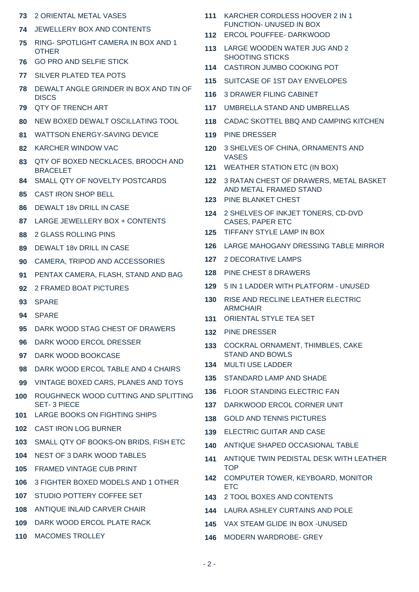- 2 ORIENTAL METAL VASES
- JEWELLERY BOX AND CONTENTS
- RING- SPOTLIGHT CAMERA IN BOX AND 1 OTHER
- GO PRO AND SELFIE STICK
- SILVER PLATED TEA POTS
- DEWALT ANGLE GRINDER IN BOX AND TIN OF **DISCS**
- QTY OF TRENCH ART
- NEW BOXED DEWALT OSCILLATING TOOL
- WATTSON ENERGY-SAVING DEVICE
- KARCHER WINDOW VAC
- QTY OF BOXED NECKLACES, BROOCH AND BRACELET
- SMALL QTY OF NOVELTY POSTCARDS
- CAST IRON SHOP BELL
- DEWALT 18v DRILL IN CASE
- LARGE JEWELLERY BOX + CONTENTS
- 2 GLASS ROLLING PINS
- DEWALT 18v DRILL IN CASE
- CAMERA, TRIPOD AND ACCESSORIES
- PENTAX CAMERA, FLASH, STAND AND BAG
- 2 FRAMED BOAT PICTURES
- SPARE
- SPARE
- DARK WOOD STAG CHEST OF DRAWERS
- DARK WOOD ERCOL DRESSER
- DARK WOOD BOOKCASE
- DARK WOOD ERCOL TABLE AND 4 CHAIRS
- VINTAGE BOXED CARS, PLANES AND TOYS
- ROUGHNECK WOOD CUTTING AND SPLITTING SET- 3 PIECE
- LARGE BOOKS ON FIGHTING SHIPS
- CAST IRON LOG BURNER
- SMALL QTY OF BOOKS-ON BRIDS, FISH ETC
- NEST OF 3 DARK WOOD TABLES
- FRAMED VINTAGE CUB PRINT
- 3 FIGHTER BOXED MODELS AND 1 OTHER
- STUDIO POTTERY COFFEE SET
- ANTIQUE INLAID CARVER CHAIR
- DARK WOOD ERCOL PLATE RACK
- MACOMES TROLLEY
- KARCHER CORDLESS HOOVER 2 IN 1 FUNCTION- UNUSED IN BOX
- ERCOL POUFFEE- DARKWOOD
- LARGE WOODEN WATER JUG AND 2 SHOOTING STICKS
- CASTIRON JUMBO COOKING POT
- SUITCASE OF 1ST DAY ENVELOPES
- 3 DRAWER FILING CABINET
- UMBRELLA STAND AND UMBRELLAS
- CADAC SKOTTEL BBQ AND CAMPING KITCHEN
- PINE DRESSER
- 3 SHELVES OF CHINA, ORNAMENTS AND VASES
- WEATHER STATION ETC (IN BOX)
- 3 RATAN CHEST OF DRAWERS, METAL BASKET AND METAL FRAMED STAND
- PINE BLANKET CHEST
- 2 SHELVES OF INKJET TONERS, CD-DVD CASES, PAPER ETC
- TIFFANY STYLE LAMP IN BOX
- LARGE MAHOGANY DRESSING TABLE MIRROR
- 2 DECORATIVE LAMPS
- PINE CHEST 8 DRAWERS
- 5 IN 1 LADDER WITH PLATFORM UNUSED
- RISE AND RECLINE LEATHER ELECTRIC ARMCHAIR
- ORIENTAL STYLE TEA SET
- PINE DRESSER
- COCKRAL ORNAMENT, THIMBLES, CAKE STAND AND BOWLS
- MULTI USE LADDER
- STANDARD LAMP AND SHADE
- FLOOR STANDING ELECTRIC FAN
- DARKWOOD ERCOL CORNER UNIT
- GOLD AND TENNIS PICTURES
- ELECTRIC GUITAR AND CASE
- ANTIQUE SHAPED OCCASIONAL TABLE
- ANTIQUE TWIN PEDISTAL DESK WITH LEATHER **TOP**
- COMPUTER TOWER, KEYBOARD, MONITOR **ETC**
- 2 TOOL BOXES AND CONTENTS
- LAURA ASHLEY CURTAINS AND POLE
- VAX STEAM GLIDE IN BOX -UNUSED
- MODERN WARDROBE- GREY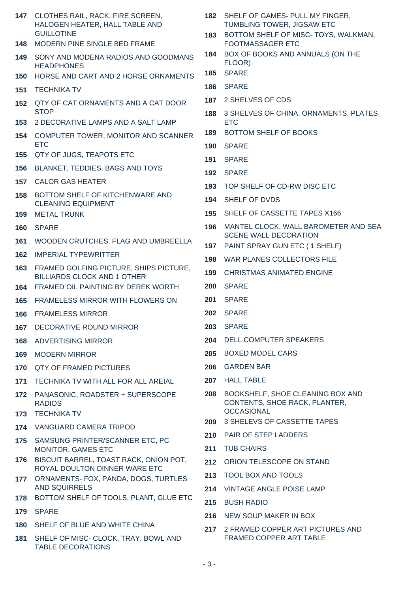| 147  | CLOTHES RAIL, RACK, FIRE SCREEN,<br>HALOGEN HEATER, HALL TABLE AND           |  |  |  |  |  |
|------|------------------------------------------------------------------------------|--|--|--|--|--|
| 148. | <b>GUILLOTINE</b><br>MODERN PINE SINGLE BED FRAME                            |  |  |  |  |  |
| 149  | SONY AND MODENA RADIOS AND GOODMANS                                          |  |  |  |  |  |
|      | <b>HEADPHONES</b>                                                            |  |  |  |  |  |
| 150  | HORSE AND CART AND 2 HORSE ORNAMENTS                                         |  |  |  |  |  |
| 151  | <b>TECHNIKA TV</b>                                                           |  |  |  |  |  |
| 152  | QTY OF CAT ORNAMENTS AND A CAT DOOR<br><b>STOP</b>                           |  |  |  |  |  |
| 153  | 2 DECORATIVE LAMPS AND A SALT LAMP                                           |  |  |  |  |  |
| 154  | COMPUTER TOWER, MONITOR AND SCANNER<br><b>ETC</b>                            |  |  |  |  |  |
| 155  | QTY OF JUGS, TEAPOTS ETC                                                     |  |  |  |  |  |
| 156  | <b>BLANKET, TEDDIES, BAGS AND TOYS</b>                                       |  |  |  |  |  |
| 157  | <b>CALOR GAS HEATER</b>                                                      |  |  |  |  |  |
| 158  | BOTTOM SHELF OF KITCHENWARE AND<br><b>CLEANING EQUIPMENT</b>                 |  |  |  |  |  |
| 159  | <b>METAL TRUNK</b>                                                           |  |  |  |  |  |
| 160  | <b>SPARE</b>                                                                 |  |  |  |  |  |
| 161  | WOODEN CRUTCHES, FLAG AND UMBREELLA                                          |  |  |  |  |  |
| 162  | <b>IMPERIAL TYPEWRITTER</b>                                                  |  |  |  |  |  |
| 163  | FRAMED GOLFING PICTURE, SHIPS PICTURE,<br><b>BILLIARDS CLOCK AND 1 OTHER</b> |  |  |  |  |  |
| 164  | FRAMED OIL PAINTING BY DEREK WORTH                                           |  |  |  |  |  |
| 165  | <b>FRAMELESS MIRROR WITH FLOWERS ON</b>                                      |  |  |  |  |  |
| 166  | <b>FRAMELESS MIRROR</b>                                                      |  |  |  |  |  |
| 167  | DECORATIVE ROUND MIRROR                                                      |  |  |  |  |  |
| 168  | ADVERTISING MIRROR                                                           |  |  |  |  |  |
| 169  | <b>MODERN MIRROR</b>                                                         |  |  |  |  |  |
| 170  | <b>QTY OF FRAMED PICTURES</b>                                                |  |  |  |  |  |
| 171  | TECHNIKA TV WITH ALL FOR ALL AREIAL                                          |  |  |  |  |  |
| 172  | PANASONIC, ROADSTER + SUPERSCOPE<br><b>RADIOS</b>                            |  |  |  |  |  |
| 173  | <b>TECHNIKA TV</b>                                                           |  |  |  |  |  |
| 174  | <b>VANGUARD CAMERA TRIPOD</b>                                                |  |  |  |  |  |
| 175  | SAMSUNG PRINTER/SCANNER ETC, PC<br>MONITOR, GAMES ETC                        |  |  |  |  |  |
| 176  | BISCUIT BARREL, TOAST RACK, ONION POT,<br>ROYAL DOULTON DINNER WARE ETC      |  |  |  |  |  |
| 177  | ORNAMENTS- FOX, PANDA, DOGS, TURTLES<br><b>AND SQUIRRELS</b>                 |  |  |  |  |  |
| 178  | BOTTOM SHELF OF TOOLS, PLANT, GLUE ETC                                       |  |  |  |  |  |
| 179  | <b>SPARE</b>                                                                 |  |  |  |  |  |
| 180  | SHELF OF BLUE AND WHITE CHINA                                                |  |  |  |  |  |
| 181  | SHELF OF MISC- CLOCK, TRAY, BOWL AND<br><b>TABLE DECORATIONS</b>             |  |  |  |  |  |

| <b>182 SHELF OF GAMES- PULL MY FINGER,</b> |
|--------------------------------------------|
| TUMBLING TOWER, JIGSAW ETC                 |

 BOTTOM SHELF OF MISC- TOYS, WALKMAN, FOOTMASSAGER ETC

- BOX OF BOOKS AND ANNUALS (ON THE FLOOR)
- SPARE
- SPARE
- 2 SHELVES OF CDS
- 3 SHELVES OF CHINA, ORNAMENTS, PLATES ETC
- BOTTOM SHELF OF BOOKS
- SPARE
- SPARE
- SPARE
- TOP SHELF OF CD-RW DISC ETC
- SHELF OF DVDS
- SHELF OF CASSETTE TAPES X166
- MANTEL CLOCK, WALL BAROMETER AND SEA SCENE WALL DECORATION
- PAINT SPRAY GUN ETC ( 1 SHELF)
- WAR PLANES COLLECTORS FILE
- CHRISTMAS ANIMATED ENGINE
- SPARE
- SPARE
- SPARE
- SPARE
- DELL COMPUTER SPEAKERS
- BOXED MODEL CARS
- GARDEN BAR
- HALL TABLE
- BOOKSHELF, SHOE CLEANING BOX AND CONTENTS, SHOE RACK, PLANTER, **OCCASIONAL**
- 3 SHELEVS OF CASSETTE TAPES
- PAIR OF STEP LADDERS
- TUB CHAIRS
- ORION TELESCOPE ON STAND
- TOOL BOX AND TOOLS
- VINTAGE ANGLE POISE LAMP
- BUSH RADIO
- NEW SOUP MAKER IN BOX
- 2 FRAMED COPPER ART PICTURES AND FRAMED COPPER ART TABLE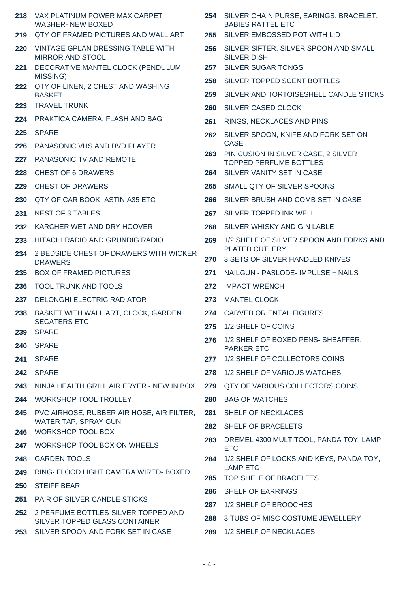| 218 | VAX PLATINUM POWER MAX CARPET<br><b>WASHER-NEW BOXED</b>           |     | 254 SILVER CHAIN PURSE, EARINGS, BRACELET,<br><b>BABIES RATTEL ETC</b> |
|-----|--------------------------------------------------------------------|-----|------------------------------------------------------------------------|
| 219 | QTY OF FRAMED PICTURES AND WALL ART                                | 255 | SILVER EMBOSSED POT WITH LID                                           |
| 220 | VINTAGE GPLAN DRESSING TABLE WITH<br><b>MIRROR AND STOOL</b>       |     | 256 SILVER SIFTER, SILVER SPOON AND SMALL<br><b>SILVER DISH</b>        |
| 221 | DECORATIVE MANTEL CLOCK (PENDULUM                                  |     | 257 SILVER SUGAR TONGS                                                 |
| 222 | MISSING)<br>QTY OF LINEN, 2 CHEST AND WASHING                      | 258 | SILVER TOPPED SCENT BOTTLES                                            |
|     | <b>BASKET</b>                                                      | 259 | SILVER AND TORTOISESHELL CANDLE STICKS                                 |
| 223 | <b>TRAVEL TRUNK</b>                                                | 260 | <b>SILVER CASED CLOCK</b>                                              |
| 224 | PRAKTICA CAMERA, FLASH AND BAG                                     | 261 | RINGS, NECKLACES AND PINS                                              |
| 225 | <b>SPARE</b>                                                       | 262 | SILVER SPOON, KNIFE AND FORK SET ON                                    |
| 226 | PANASONIC VHS AND DVD PLAYER                                       | 263 | <b>CASE</b><br>PIN CUSION IN SILVER CASE, 2 SILVER                     |
| 227 | PANASONIC TV AND REMOTE                                            |     | <b>TOPPED PERFUME BOTTLES</b>                                          |
| 228 | <b>CHEST OF 6 DRAWERS</b>                                          |     | 264 SILVER VANITY SET IN CASE                                          |
| 229 | <b>CHEST OF DRAWERS</b>                                            | 265 | SMALL QTY OF SILVER SPOONS                                             |
| 230 | QTY OF CAR BOOK- ASTIN A35 ETC                                     | 266 | SILVER BRUSH AND COMB SET IN CASE                                      |
| 231 | <b>NEST OF 3 TABLES</b>                                            | 267 | SILVER TOPPED INK WELL                                                 |
| 232 | KARCHER WET AND DRY HOOVER                                         | 268 | SILVER WHISKY AND GIN LABLE                                            |
| 233 | HITACHI RADIO AND GRUNDIG RADIO                                    | 269 | 1/2 SHELF OF SILVER SPOON AND FORKS AND                                |
| 234 | 2 BEDSIDE CHEST OF DRAWERS WITH WICKER<br><b>DRAWERS</b>           | 270 | <b>PLATED CUTLERY</b><br>3 SETS OF SILVER HANDLED KNIVES               |
| 235 | <b>BOX OF FRAMED PICTURES</b>                                      | 271 | NAILGUN - PASLODE- IMPULSE + NAILS                                     |
| 236 | <b>TOOL TRUNK AND TOOLS</b>                                        | 272 | <b>IMPACT WRENCH</b>                                                   |
| 237 | <b>DELONGHI ELECTRIC RADIATOR</b>                                  | 273 | <b>MANTEL CLOCK</b>                                                    |
| 238 | BASKET WITH WALL ART, CLOCK, GARDEN                                |     | 274 CARVED ORIENTAL FIGURES                                            |
| 239 | <b>SECATERS ETC</b><br><b>SPARE</b>                                |     | 275 1/2 SHELF OF COINS                                                 |
| 240 | <b>SPARE</b>                                                       |     | 276 1/2 SHELF OF BOXED PENS- SHEAFFER,<br><b>PARKER ETC</b>            |
| 241 | <b>SPARE</b>                                                       | 277 | 1/2 SHELF OF COLLECTORS COINS                                          |
| 242 | <b>SPARE</b>                                                       | 278 | 1/2 SHELF OF VARIOUS WATCHES                                           |
| 243 | NINJA HEALTH GRILL AIR FRYER - NEW IN BOX                          | 279 | QTY OF VARIOUS COLLECTORS COINS                                        |
| 244 | <b>WORKSHOP TOOL TROLLEY</b>                                       | 280 | <b>BAG OF WATCHES</b>                                                  |
| 245 | PVC AIRHOSE, RUBBER AIR HOSE, AIR FILTER,                          |     | 281 SHELF OF NECKLACES                                                 |
| 246 | WATER TAP, SPRAY GUN<br><b>WORKSHOP TOOL BOX</b>                   |     | 282 SHELF OF BRACELETS                                                 |
| 247 | WORKSHOP TOOL BOX ON WHEELS                                        |     | 283 DREMEL 4300 MULTITOOL, PANDA TOY, LAMP<br><b>ETC</b>               |
| 248 | <b>GARDEN TOOLS</b>                                                | 284 | 1/2 SHELF OF LOCKS AND KEYS, PANDA TOY,                                |
| 249 | RING- FLOOD LIGHT CAMERA WIRED- BOXED                              |     | <b>LAMP ETC</b><br>285 TOP SHELF OF BRACELETS                          |
| 250 | <b>STEIFF BEAR</b>                                                 | 286 | <b>SHELF OF EARRINGS</b>                                               |
| 251 | PAIR OF SILVER CANDLE STICKS                                       | 287 | 1/2 SHELF OF BROOCHES                                                  |
| 252 | 2 PERFUME BOTTLES-SILVER TOPPED AND                                | 288 | 3 TUBS OF MISC COSTUME JEWELLERY                                       |
| 253 | SILVER TOPPED GLASS CONTAINER<br>SILVER SPOON AND FORK SET IN CASE | 289 | 1/2 SHELF OF NECKLACES                                                 |
|     |                                                                    |     |                                                                        |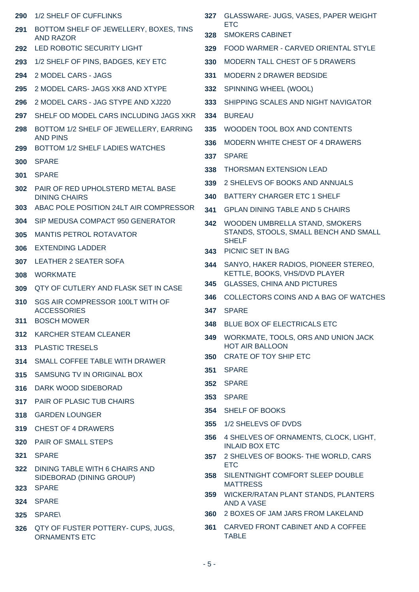| 290 | 1/2 SHELF OF CUFFLINKS                                     | 327 | GLASSWARE- JUGS, VASES, PAPER WEIGHT                                |  |  |
|-----|------------------------------------------------------------|-----|---------------------------------------------------------------------|--|--|
| 291 | BOTTOM SHELF OF JEWELLERY, BOXES, TINS<br><b>AND RAZOR</b> | 328 | <b>ETC</b><br><b>SMOKERS CABINET</b>                                |  |  |
| 292 | LED ROBOTIC SECURITY LIGHT                                 | 329 | FOOD WARMER - CARVED ORIENTAL STYLE                                 |  |  |
| 293 | 1/2 SHELF OF PINS, BADGES, KEY ETC                         | 330 | MODERN TALL CHEST OF 5 DRAWERS                                      |  |  |
| 294 | 2 MODEL CARS - JAGS                                        | 331 | <b>MODERN 2 DRAWER BEDSIDE</b>                                      |  |  |
| 295 | 2 MODEL CARS- JAGS XK8 AND XTYPE                           | 332 | SPINNING WHEEL (WOOL)                                               |  |  |
| 296 | 2 MODEL CARS - JAG STYPE AND XJ220                         | 333 | SHIPPING SCALES AND NIGHT NAVIGATOR                                 |  |  |
| 297 | SHELF OD MODEL CARS INCLUDING JAGS XKR                     | 334 | BUREAU                                                              |  |  |
| 298 | BOTTOM 1/2 SHELF OF JEWELLERY, EARRING<br><b>AND PINS</b>  | 335 | WOODEN TOOL BOX AND CONTENTS                                        |  |  |
| 299 | BOTTOM 1/2 SHELF LADIES WATCHES                            | 336 | MODERN WHITE CHEST OF 4 DRAWERS                                     |  |  |
| 300 | <b>SPARE</b>                                               |     | <b>SPARE</b><br>337                                                 |  |  |
| 301 | <b>SPARE</b>                                               | 338 | <b>THORSMAN EXTENSION LEAD</b>                                      |  |  |
| 302 | PAIR OF RED UPHOLSTERD METAL BASE                          | 339 | 2 SHELEVS OF BOOKS AND ANNUALS                                      |  |  |
|     | <b>DINING CHAIRS</b>                                       | 340 | BATTERY CHARGER ETC 1 SHELF                                         |  |  |
| 303 | ABAC POLE POSITION 24LT AIR COMPRESSOR                     | 341 | <b>GPLAN DINING TABLE AND 5 CHAIRS</b>                              |  |  |
| 304 | SIP MEDUSA COMPACT 950 GENERATOR                           | 342 | WOODEN UMBRELLA STAND, SMOKERS                                      |  |  |
| 305 | <b>MANTIS PETROL ROTAVATOR</b>                             |     | STANDS, STOOLS, SMALL BENCH AND SMALL<br><b>SHELF</b>               |  |  |
| 306 | <b>EXTENDING LADDER</b>                                    |     | 343 PICNIC SET IN BAG                                               |  |  |
| 307 | LEATHER 2 SEATER SOFA                                      | 344 | SANYO, HAKER RADIOS, PIONEER STEREO,                                |  |  |
| 308 | <b>WORKMATE</b>                                            | 345 | KETTLE, BOOKS, VHS/DVD PLAYER<br><b>GLASSES, CHINA AND PICTURES</b> |  |  |
| 309 | QTY OF CUTLERY AND FLASK SET IN CASE                       | 346 | COLLECTORS COINS AND A BAG OF WATCHES                               |  |  |
| 310 | SGS AIR COMPRESSOR 100LT WITH OF<br><b>ACCESSORIES</b>     | 347 | <b>SPARE</b>                                                        |  |  |
| 311 | <b>BOSCH MOWER</b>                                         | 348 | BLUE BOX OF ELECTRICALS ETC                                         |  |  |
| 312 | KARCHER STEAM CLEANER                                      | 349 | WORKMATE, TOOLS, ORS AND UNION JACK                                 |  |  |
| 313 | <b>PLASTIC TRESELS</b>                                     |     | <b>HOT AIR BALLOON</b>                                              |  |  |
| 314 | SMALL COFFEE TABLE WITH DRAWER                             |     | 350 CRATE OF TOY SHIP ETC                                           |  |  |
| 315 | SAMSUNG TV IN ORIGINAL BOX                                 | 351 | <b>SPARE</b>                                                        |  |  |
| 316 | DARK WOOD SIDEBORAD                                        |     | 352 SPARE                                                           |  |  |
| 317 | PAIR OF PLASIC TUB CHAIRS                                  | 353 | <b>SPARE</b>                                                        |  |  |
| 318 | <b>GARDEN LOUNGER</b>                                      |     | 354 SHELF OF BOOKS                                                  |  |  |
| 319 | <b>CHEST OF 4 DRAWERS</b>                                  | 355 | 1/2 SHELEVS OF DVDS                                                 |  |  |
| 320 | PAIR OF SMALL STEPS                                        | 356 | 4 SHELVES OF ORNAMENTS, CLOCK, LIGHT,<br><b>INLAID BOX ETC</b>      |  |  |
| 321 | <b>SPARE</b>                                               | 357 | 2 SHELVES OF BOOKS- THE WORLD, CARS                                 |  |  |
| 322 | DINING TABLE WITH 6 CHAIRS AND<br>SIDEBORAD (DINING GROUP) | 358 | <b>ETC</b><br>SILENTNIGHT COMFORT SLEEP DOUBLE                      |  |  |
| 323 | <b>SPARE</b>                                               |     | <b>MATTRESS</b><br>359 WICKER/RATAN PLANT STANDS, PLANTERS          |  |  |
| 324 | <b>SPARE</b>                                               |     | AND A VASE                                                          |  |  |
| 325 | <b>SPARE\</b>                                              |     | 360 2 BOXES OF JAM JARS FROM LAKELAND                               |  |  |
| 326 | QTY OF FUSTER POTTERY- CUPS, JUGS,<br><b>ORNAMENTS ETC</b> | 361 | CARVED FRONT CABINET AND A COFFEE<br><b>TABLE</b>                   |  |  |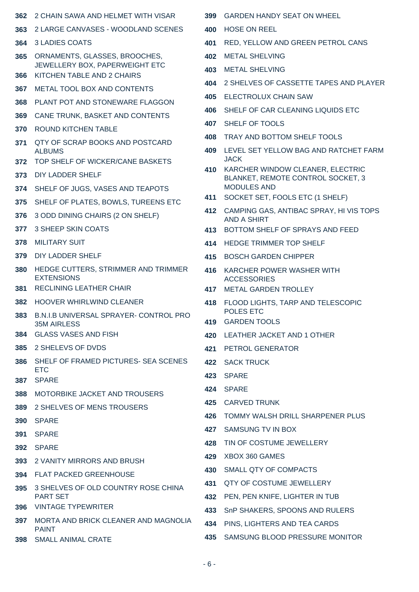| 362        | 2 CHAIN SAWA AND HELMET WITH VISAR                           | 399        | <b>GARDEN HANDY SEAT ON WHEEL</b>                                 |  |
|------------|--------------------------------------------------------------|------------|-------------------------------------------------------------------|--|
| 363        | 2 LARGE CANVASES - WOODLAND SCENES                           | 400        | <b>HOSE ON REEL</b>                                               |  |
| 364        | 3 LADIES COATS                                               | 401        | RED, YELLOW AND GREEN PETROL CANS                                 |  |
| 365        | ORNAMENTS, GLASSES, BROOCHES,                                | 402        | <b>METAL SHELVING</b>                                             |  |
| 366        | JEWELLERY BOX, PAPERWEIGHT ETC<br>KITCHEN TABLE AND 2 CHAIRS | 403        | <b>METAL SHELVING</b>                                             |  |
| 367        | METAL TOOL BOX AND CONTENTS                                  | 404        | 2 SHELVES OF CASSETTE TAPES AND PLAYER                            |  |
| 368        | PLANT POT AND STONEWARE FLAGGON                              | 405        | <b>ELECTROLUX CHAIN SAW</b>                                       |  |
| 369        | CANE TRUNK, BASKET AND CONTENTS                              | 406        | SHELF OF CAR CLEANING LIQUIDS ETC                                 |  |
| 370        | ROUND KITCHEN TABLE                                          | 407        | SHELF OF TOOLS                                                    |  |
| 371        | QTY OF SCRAP BOOKS AND POSTCARD                              | 408        | TRAY AND BOTTOM SHELF TOOLS                                       |  |
|            | <b>ALBUMS</b>                                                |            | 409 LEVEL SET YELLOW BAG AND RATCHET FARM                         |  |
| 372        | TOP SHELF OF WICKER/CANE BASKETS                             | 410        | <b>JACK</b><br>KARCHER WINDOW CLEANER, ELECTRIC                   |  |
| 373        | DIY LADDER SHELF                                             |            | BLANKET, REMOTE CONTROL SOCKET, 3                                 |  |
| 374        | SHELF OF JUGS, VASES AND TEAPOTS                             | 411        | <b>MODULES AND</b><br>SOCKET SET, FOOLS ETC (1 SHELF)             |  |
| 375        | SHELF OF PLATES, BOWLS, TUREENS ETC                          | 412        | CAMPING GAS, ANTIBAC SPRAY, HI VIS TOPS                           |  |
| 376        | 3 ODD DINING CHAIRS (2 ON SHELF)                             |            | <b>AND A SHIRT</b>                                                |  |
| 377        | <b>3 SHEEP SKIN COATS</b>                                    | 413        | BOTTOM SHELF OF SPRAYS AND FEED                                   |  |
| 378        | <b>MILITARY SUIT</b>                                         | 414        | HEDGE TRIMMER TOP SHELF                                           |  |
| 379        | DIY LADDER SHELF                                             | 415        | <b>BOSCH GARDEN CHIPPER</b>                                       |  |
| 380        | HEDGE CUTTERS, STRIMMER AND TRIMMER<br><b>EXTENSIONS</b>     | 416        | KARCHER POWER WASHER WITH<br><b>ACCESSORIES</b>                   |  |
| 381        | <b>RECLINING LEATHER CHAIR</b>                               | 417        | <b>METAL GARDEN TROLLEY</b>                                       |  |
| 382        | <b>HOOVER WHIRLWIND CLEANER</b>                              | 418        | FLOOD LIGHTS, TARP AND TELESCOPIC                                 |  |
| 383        | B.N.I.B UNIVERSAL SPRAYER- CONTROL PRO                       |            | POLES ETC                                                         |  |
|            | 35M AIRLESS                                                  |            | 419 GARDEN TOOLS                                                  |  |
|            | 384 GLASS VASES AND FISH                                     |            | 420 LEATHER JACKET AND 1 OTHER                                    |  |
| 385        | 2 SHELEVS OF DVDS                                            | 421        | PETROL GENERATOR                                                  |  |
| 386        | SHELF OF FRAMED PICTURES- SEA SCENES<br><b>ETC</b>           |            | 422 SACK TRUCK                                                    |  |
| 387        | <b>SPARE</b>                                                 | 423        | <b>SPARE</b>                                                      |  |
| 388        | MOTORBIKE JACKET AND TROUSERS                                | 424        | <b>SPARE</b>                                                      |  |
| 389        | 2 SHELVES OF MENS TROUSERS                                   | 425        | <b>CARVED TRUNK</b>                                               |  |
| <b>390</b> | <b>SPARE</b>                                                 | 426        | TOMMY WALSH DRILL SHARPENER PLUS                                  |  |
| 391        | <b>SPARE</b>                                                 | 427        | SAMSUNG TV IN BOX                                                 |  |
| 392        | <b>SPARE</b>                                                 | 428        | TIN OF COSTUME JEWELLERY                                          |  |
| 393        | 2 VANITY MIRRORS AND BRUSH                                   | 429        | XBOX 360 GAMES                                                    |  |
|            | 394 FLAT PACKED GREENHOUSE                                   | 430        | SMALL QTY OF COMPACTS                                             |  |
| 395        | 3 SHELVES OF OLD COUNTRY ROSE CHINA<br><b>PART SET</b>       | 431<br>432 | <b>QTY OF COSTUME JEWELLERY</b><br>PEN, PEN KNIFE, LIGHTER IN TUB |  |
| 396        | <b>VINTAGE TYPEWRITER</b>                                    | 433        | SnP SHAKERS, SPOONS AND RULERS                                    |  |
| 397        | MORTA AND BRICK CLEANER AND MAGNOLIA                         | 434        | PINS, LIGHTERS AND TEA CARDS                                      |  |
| 398        | <b>PAINT</b><br><b>SMALL ANIMAL CRATE</b>                    | 435        | SAMSUNG BLOOD PRESSURE MONITOR                                    |  |
|            |                                                              |            |                                                                   |  |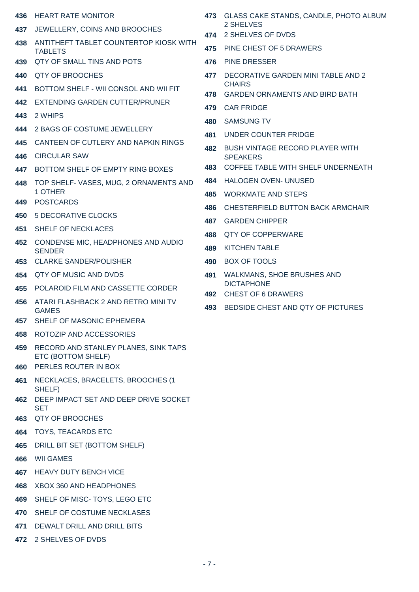- HEART RATE MONITOR
- JEWELLERY, COINS AND BROOCHES
- ANTITHEFT TABLET COUNTERTOP KIOSK WITH TABLETS
- QTY OF SMALL TINS AND POTS
- QTY OF BROOCHES
- BOTTOM SHELF WII CONSOL AND WII FIT
- EXTENDING GARDEN CUTTER/PRUNER
- 2 WHIPS
- 2 BAGS OF COSTUME JEWELLERY
- CANTEEN OF CUTLERY AND NAPKIN RINGS
- CIRCULAR SAW
- BOTTOM SHELF OF EMPTY RING BOXES
- TOP SHELF- VASES, MUG, 2 ORNAMENTS AND 1 OTHER
- POSTCARDS
- 5 DECORATIVE CLOCKS
- SHELF OF NECKLACES
- CONDENSE MIC, HEADPHONES AND AUDIO **SENDER**
- CLARKE SANDER/POLISHER
- QTY OF MUSIC AND DVDS
- POLAROID FILM AND CASSETTE CORDER
- ATARI FLASHBACK 2 AND RETRO MINI TV GAMES
- SHELF OF MASONIC EPHEMERA
- ROTOZIP AND ACCESSORIES
- RECORD AND STANLEY PLANES, SINK TAPS ETC (BOTTOM SHELF)
- PERLES ROUTER IN BOX
- NECKLACES, BRACELETS, BROOCHES (1 SHELF)
- DEEP IMPACT SET AND DEEP DRIVE SOCKET SET
- QTY OF BROOCHES
- TOYS, TEACARDS ETC
- DRILL BIT SET (BOTTOM SHELF)
- WII GAMES
- HEAVY DUTY BENCH VICE
- XBOX 360 AND HEADPHONES
- SHELF OF MISC- TOYS, LEGO ETC
- SHELF OF COSTUME NECKLASES
- DEWALT DRILL AND DRILL BITS
- 2 SHELVES OF DVDS
- GLASS CAKE STANDS, CANDLE, PHOTO ALBUM 2 SHELVES
- 2 SHELVES OF DVDS
- PINE CHEST OF 5 DRAWERS
- PINE DRESSER
- DECORATIVE GARDEN MINI TABLE AND 2 **CHAIRS**
- GARDEN ORNAMENTS AND BIRD BATH
- CAR FRIDGE
- SAMSUNG TV
- UNDER COUNTER FRIDGE
- BUSH VINTAGE RECORD PLAYER WITH **SPEAKERS**
- COFFEE TABLE WITH SHELF UNDERNEATH
- HALOGEN OVEN- UNUSED
- WORKMATE AND STEPS
- CHESTERFIELD BUTTON BACK ARMCHAIR
- GARDEN CHIPPER
- QTY OF COPPERWARE
- KITCHEN TABLE
- BOX OF TOOLS
- WALKMANS, SHOE BRUSHES AND DICTAPHONE
- CHEST OF 6 DRAWERS
- BEDSIDE CHEST AND QTY OF PICTURES